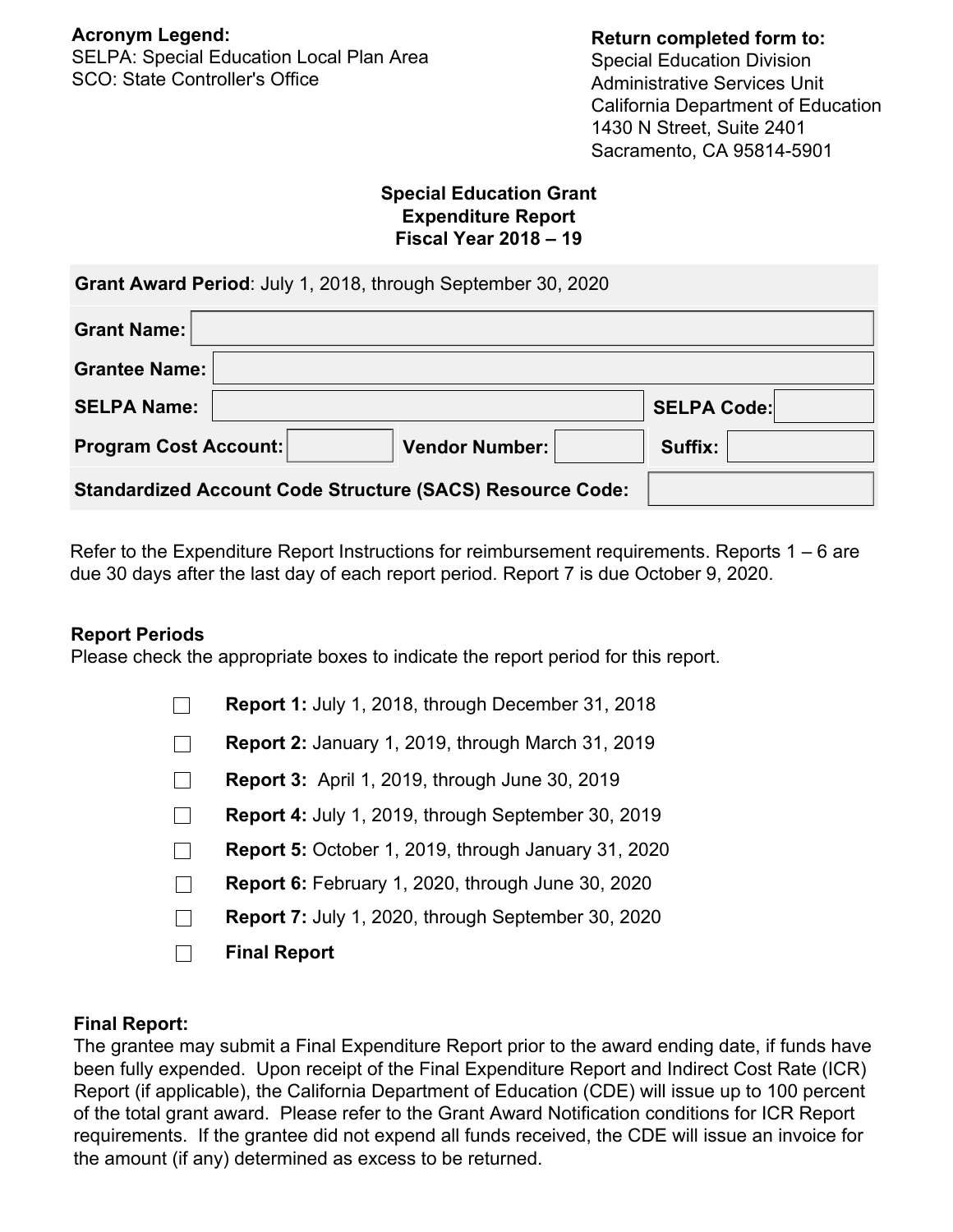SELPA: Special Education Local Plan Area SCO: State Controller's Office

#### **Return completed form to:**

Special Education Division Administrative Services Unit California Department of Education 1430 N Street, Suite 2401 Sacramento, CA 95814-5901

#### **Special Education Grant Expenditure Report Fiscal Year 2018 – 19**

| <b>Grant Name:</b>           |                                                                  |                    |
|------------------------------|------------------------------------------------------------------|--------------------|
| <b>Grantee Name:</b>         |                                                                  |                    |
| <b>SELPA Name:</b>           |                                                                  | <b>SELPA Code:</b> |
| <b>Program Cost Account:</b> | Vendor Number:                                                   | Suffix:            |
|                              | <b>Standardized Account Code Structure (SACS) Resource Code:</b> |                    |

Refer to the Expenditure Report Instructions for reimbursement requirements. Reports  $1 - 6$  are due 30 days after the last day of each report period. Report 7 is due October 9, 2020.

### **Report Periods**

Please check the appropriate boxes to indicate the report period for this report.

| <b>Report 1: July 1, 2018, through December 31, 2018</b>   |
|------------------------------------------------------------|
| <b>Report 2: January 1, 2019, through March 31, 2019</b>   |
| Report 3: April 1, 2019, through June 30, 2019             |
| <b>Report 4: July 1, 2019, through September 30, 2019</b>  |
| <b>Report 5: October 1, 2019, through January 31, 2020</b> |
| <b>Report 6:</b> February 1, 2020, through June 30, 2020   |
| Report 7: July 1, 2020, through September 30, 2020         |
| <b>Final Report</b>                                        |

### **Final Report:**

The grantee may submit a Final Expenditure Report prior to the award ending date, if funds have been fully expended. Upon receipt of the Final Expenditure Report and Indirect Cost Rate (ICR) Report (if applicable), the California Department of Education (CDE) will issue up to 100 percent of the total grant award. Please refer to the Grant Award Notification conditions for ICR Report requirements. If the grantee did not expend all funds received, the CDE will issue an invoice for the amount (if any) determined as excess to be returned.